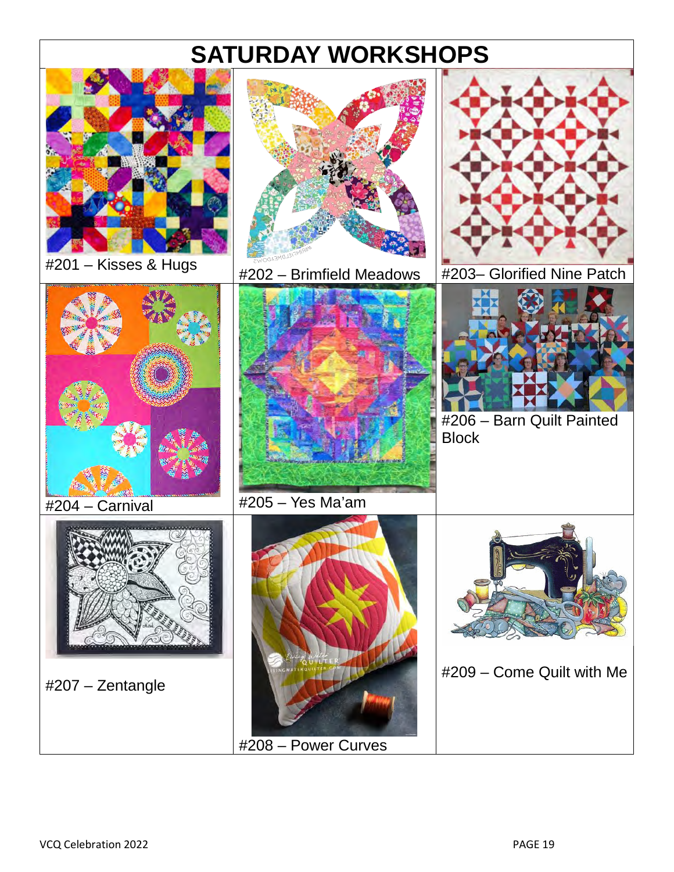# **SATURDAY WORKSHOPS**

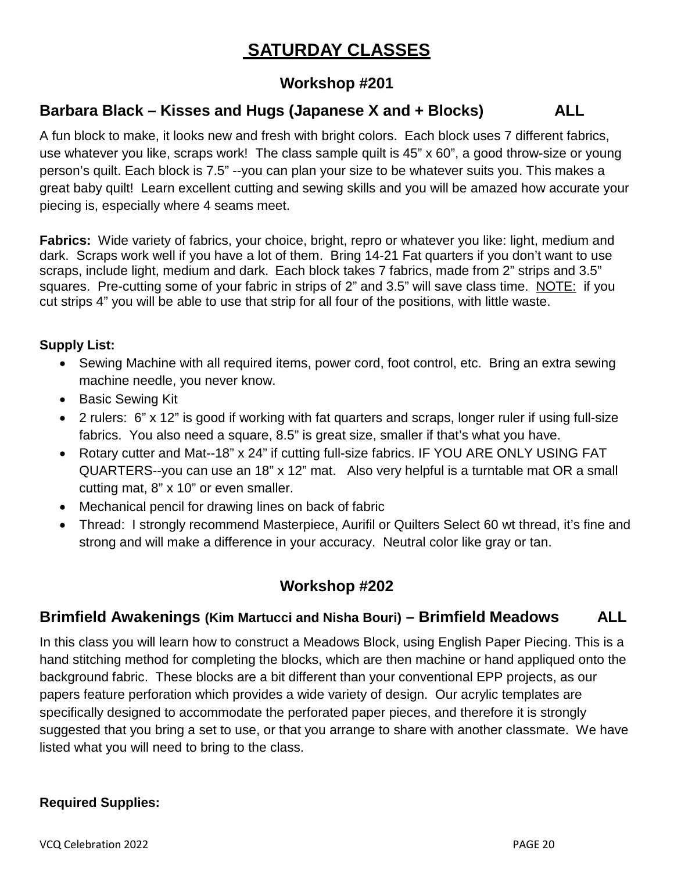## **SATURDAY CLASSES**

## **Workshop #201**

## **Barbara Black – Kisses and Hugs (Japanese X and + Blocks) ALL**

A fun block to make, it looks new and fresh with bright colors. Each block uses 7 different fabrics, use whatever you like, scraps work! The class sample quilt is 45" x 60", a good throw-size or young person's quilt. Each block is 7.5" --you can plan your size to be whatever suits you. This makes a great baby quilt! Learn excellent cutting and sewing skills and you will be amazed how accurate your piecing is, especially where 4 seams meet.

**Fabrics:** Wide variety of fabrics, your choice, bright, repro or whatever you like: light, medium and dark. Scraps work well if you have a lot of them. Bring 14-21 Fat quarters if you don't want to use scraps, include light, medium and dark. Each block takes 7 fabrics, made from 2" strips and 3.5" squares. Pre-cutting some of your fabric in strips of 2" and 3.5" will save class time. NOTE: if you cut strips 4" you will be able to use that strip for all four of the positions, with little waste.

#### **Supply List:**

- Sewing Machine with all required items, power cord, foot control, etc. Bring an extra sewing machine needle, you never know.
- Basic Sewing Kit
- 2 rulers: 6" x 12" is good if working with fat quarters and scraps, longer ruler if using full-size fabrics. You also need a square, 8.5" is great size, smaller if that's what you have.
- Rotary cutter and Mat--18" x 24" if cutting full-size fabrics. IF YOU ARE ONLY USING FAT QUARTERS--you can use an 18" x 12" mat. Also very helpful is a turntable mat OR a small cutting mat, 8" x 10" or even smaller.
- Mechanical pencil for drawing lines on back of fabric
- Thread: I strongly recommend Masterpiece, Aurifil or Quilters Select 60 wt thread, it's fine and strong and will make a difference in your accuracy. Neutral color like gray or tan.

## **Workshop #202**

## **Brimfield Awakenings (Kim Martucci and Nisha Bouri) – Brimfield Meadows ALL**

In this class you will learn how to construct a Meadows Block, using English Paper Piecing. This is a hand stitching method for completing the blocks, which are then machine or hand appliqued onto the background fabric. These blocks are a bit different than your conventional EPP projects, as our papers feature perforation which provides a wide variety of design. Our acrylic templates are specifically designed to accommodate the perforated paper pieces, and therefore it is strongly suggested that you bring a set to use, or that you arrange to share with another classmate. We have listed what you will need to bring to the class.

#### **Required Supplies:**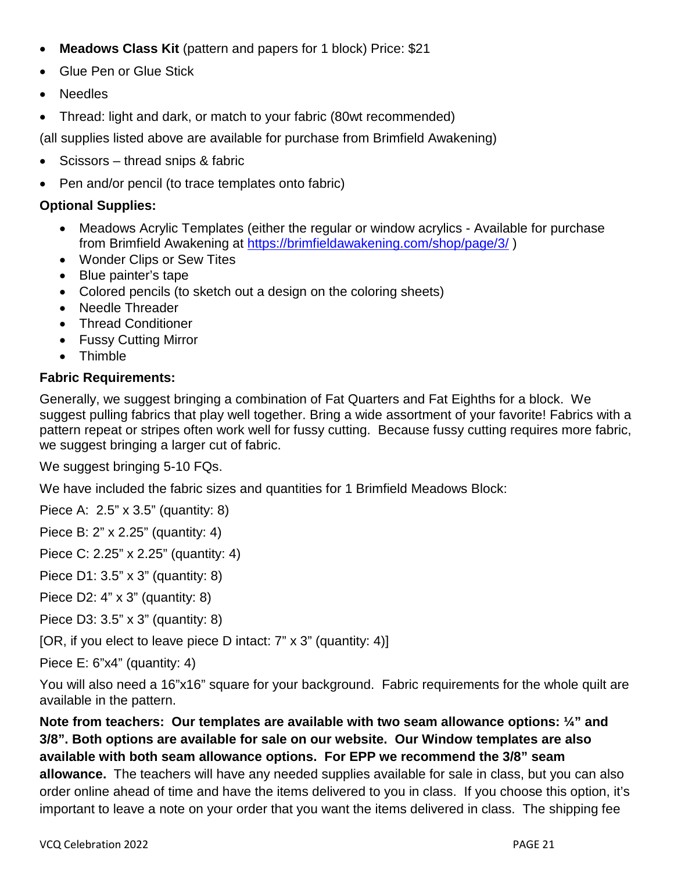- **Meadows Class Kit** (pattern and papers for 1 block) Price: \$21
- Glue Pen or Glue Stick
- Needles
- Thread: light and dark, or match to your fabric (80wt recommended)

(all supplies listed above are available for purchase from Brimfield Awakening)

- Scissors thread snips & fabric
- Pen and/or pencil (to trace templates onto fabric)

#### **Optional Supplies:**

- Meadows Acrylic Templates (either the regular or window acrylics Available for purchase from Brimfield Awakening at<https://brimfieldawakening.com/shop/page/3/>)
- Wonder Clips or Sew Tites
- Blue painter's tape
- Colored pencils (to sketch out a design on the coloring sheets)
- Needle Threader
- Thread Conditioner
- Fussy Cutting Mirror
- Thimble

#### **Fabric Requirements:**

Generally, we suggest bringing a combination of Fat Quarters and Fat Eighths for a block. We suggest pulling fabrics that play well together. Bring a wide assortment of your favorite! Fabrics with a pattern repeat or stripes often work well for fussy cutting. Because fussy cutting requires more fabric, we suggest bringing a larger cut of fabric.

We suggest bringing 5-10 FQs.

We have included the fabric sizes and quantities for 1 Brimfield Meadows Block:

Piece A: 2.5" x 3.5" (quantity: 8)

Piece B: 2" x 2.25" (quantity: 4)

Piece C: 2.25" x 2.25" (quantity: 4)

Piece D1: 3.5" x 3" (quantity: 8)

Piece D2: 4" x 3" (quantity: 8)

Piece D3: 3.5" x 3" (quantity: 8)

[OR, if you elect to leave piece D intact: 7" x 3" (quantity: 4)]

Piece E: 6"x4" (quantity: 4)

You will also need a 16"x16" square for your background. Fabric requirements for the whole quilt are available in the pattern.

**Note from teachers: Our templates are available with two seam allowance options: ¼" and 3/8". Both options are available for sale on our website. Our Window templates are also available with both seam allowance options. For EPP we recommend the 3/8" seam allowance.** The teachers will have any needed supplies available for sale in class, but you can also order online ahead of time and have the items delivered to you in class. If you choose this option, it's important to leave a note on your order that you want the items delivered in class. The shipping fee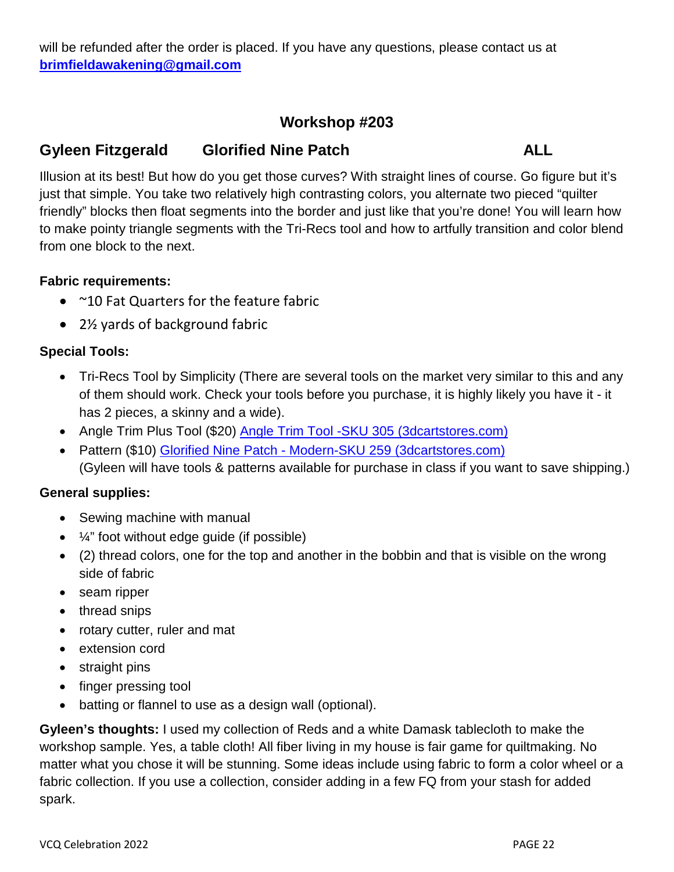will be refunded after the order is placed. If you have any questions, please contact us at **[brimfieldawakening@gmail.com](mailto:brimfieldawakening@gmail.com)** 

## **Workshop #203**

## **Gyleen Fitzgerald Glorified Nine Patch ALL**

Illusion at its best! But how do you get those curves? With straight lines of course. Go figure but it's just that simple. You take two relatively high contrasting colors, you alternate two pieced "quilter friendly" blocks then float segments into the border and just like that you're done! You will learn how to make pointy triangle segments with the Tri-Recs tool and how to artfully transition and color blend from one block to the next.

#### **Fabric requirements:**

- ~10 Fat Quarters for the feature fabric
- 2½ yards of background fabric

#### **Special Tools:**

- Tri-Recs Tool by Simplicity (There are several tools on the market very similar to this and any of them should work. Check your tools before you purchase, it is highly likely you have it - it has 2 pieces, a skinny and a wide).
- Angle Trim Plus Tool (\$20) [Angle Trim Tool -SKU 305 \(3dcartstores.com\)](https://colourfulstitches-com.3dcartstores.com/Angle-Trim-Tool-_p_74.html)
- Pattern (\$10) [Glorified Nine Patch Modern-SKU 259 \(3dcartstores.com\)](https://colourfulstitches-com.3dcartstores.com/Glorified-Nine-Patch--Modern_p_134.html) (Gyleen will have tools & patterns available for purchase in class if you want to save shipping.)

#### **General supplies:**

- Sewing machine with manual
- $\bullet$   $\frac{1}{4}$  foot without edge guide (if possible)
- (2) thread colors, one for the top and another in the bobbin and that is visible on the wrong side of fabric
- seam ripper
- thread snips
- rotary cutter, ruler and mat
- extension cord
- straight pins
- finger pressing tool
- batting or flannel to use as a design wall (optional).

**Gyleen's thoughts:** I used my collection of Reds and a white Damask tablecloth to make the workshop sample. Yes, a table cloth! All fiber living in my house is fair game for quiltmaking. No matter what you chose it will be stunning. Some ideas include using fabric to form a color wheel or a fabric collection. If you use a collection, consider adding in a few FQ from your stash for added spark.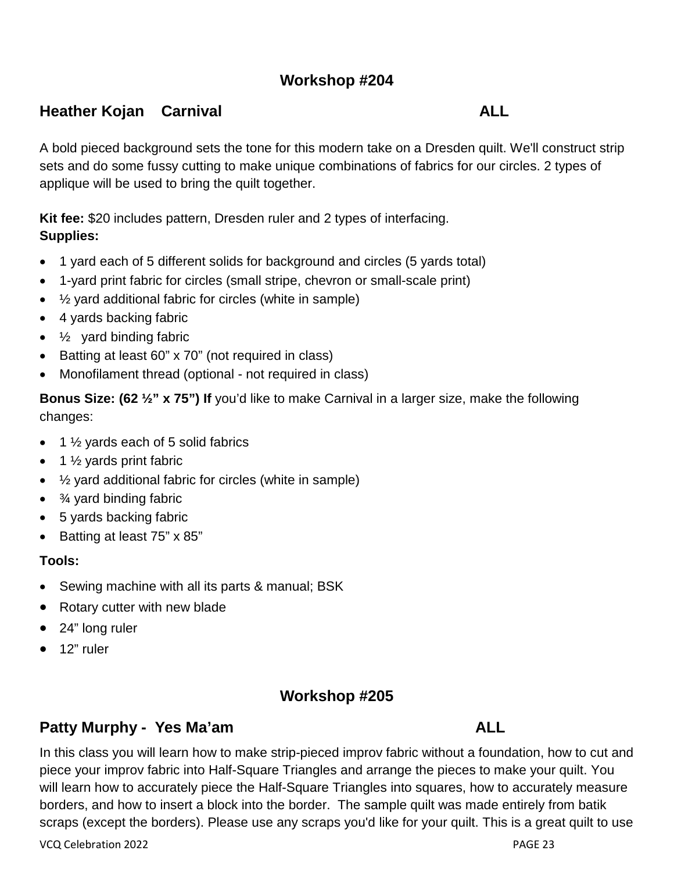## **Workshop #204**

## **Heather Kojan Carnival ALL**

A bold pieced background sets the tone for this modern take on a Dresden quilt. We'll construct strip sets and do some fussy cutting to make unique combinations of fabrics for our circles. 2 types of applique will be used to bring the quilt together.

**Kit fee:** \$20 includes pattern, Dresden ruler and 2 types of interfacing. **Supplies:** 

- 1 yard each of 5 different solids for background and circles (5 yards total)
- 1-yard print fabric for circles (small stripe, chevron or small-scale print)
- $\frac{1}{2}$  yard additional fabric for circles (white in sample)
- 4 yards backing fabric
- $\bullet$   $\frac{1}{2}$  yard binding fabric
- Batting at least 60" x 70" (not required in class)
- Monofilament thread (optional not required in class)

**Bonus Size: (62 1/2" x 75") If** you'd like to make Carnival in a larger size, make the following changes:

- $\bullet$  1  $\frac{1}{2}$  yards each of 5 solid fabrics
- $\bullet$  1  $\frac{1}{2}$  yards print fabric
- ½ yard additional fabric for circles (white in sample)
- $\bullet$   $\frac{3}{4}$  yard binding fabric
- 5 yards backing fabric
- Batting at least 75" x 85"

#### **Tools:**

- Sewing machine with all its parts & manual; BSK
- Rotary cutter with new blade
- 24" long ruler
- 12" ruler

## **Workshop #205**

## **Patty Murphy - Yes Ma'am ALL**

In this class you will learn how to make strip-pieced improv fabric without a foundation, how to cut and piece your improv fabric into Half-Square Triangles and arrange the pieces to make your quilt. You will learn how to accurately piece the Half-Square Triangles into squares, how to accurately measure borders, and how to insert a block into the border. The sample quilt was made entirely from batik scraps (except the borders). Please use any scraps you'd like for your quilt. This is a great quilt to use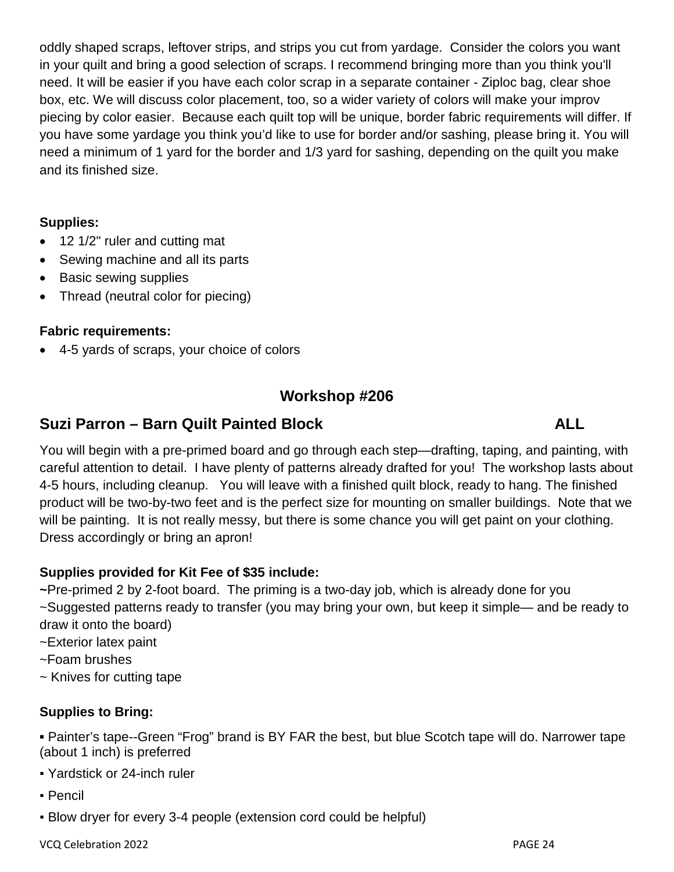oddly shaped scraps, leftover strips, and strips you cut from yardage. Consider the colors you want in your quilt and bring a good selection of scraps. I recommend bringing more than you think you'll need. It will be easier if you have each color scrap in a separate container - Ziploc bag, clear shoe box, etc. We will discuss color placement, too, so a wider variety of colors will make your improv piecing by color easier. Because each quilt top will be unique, border fabric requirements will differ. If you have some yardage you think you'd like to use for border and/or sashing, please bring it. You will need a minimum of 1 yard for the border and 1/3 yard for sashing, depending on the quilt you make and its finished size.

#### **Supplies:**

- 12 1/2" ruler and cutting mat
- Sewing machine and all its parts
- Basic sewing supplies
- Thread (neutral color for piecing)

#### **Fabric requirements:**

• 4-5 yards of scraps, your choice of colors

## **Workshop #206**

## **Suzi Parron – Barn Quilt Painted Block ALL**

You will begin with a pre-primed board and go through each step—drafting, taping, and painting, with careful attention to detail. I have plenty of patterns already drafted for you! The workshop lasts about 4-5 hours, including cleanup. You will leave with a finished quilt block, ready to hang. The finished product will be two-by-two feet and is the perfect size for mounting on smaller buildings. Note that we will be painting. It is not really messy, but there is some chance you will get paint on your clothing. Dress accordingly or bring an apron!

## **Supplies provided for Kit Fee of \$35 include:**

**~**Pre-primed 2 by 2-foot board. The priming is a two-day job, which is already done for you ~Suggested patterns ready to transfer (you may bring your own, but keep it simple— and be ready to draw it onto the board)

- ~Exterior latex paint
- ~Foam brushes
- ~ Knives for cutting tape

## **Supplies to Bring:**

**▪** Painter's tape--Green "Frog" brand is BY FAR the best, but blue Scotch tape will do. Narrower tape (about 1 inch) is preferred

- Yardstick or 24-inch ruler
- Pencil
- Blow dryer for every 3-4 people (extension cord could be helpful)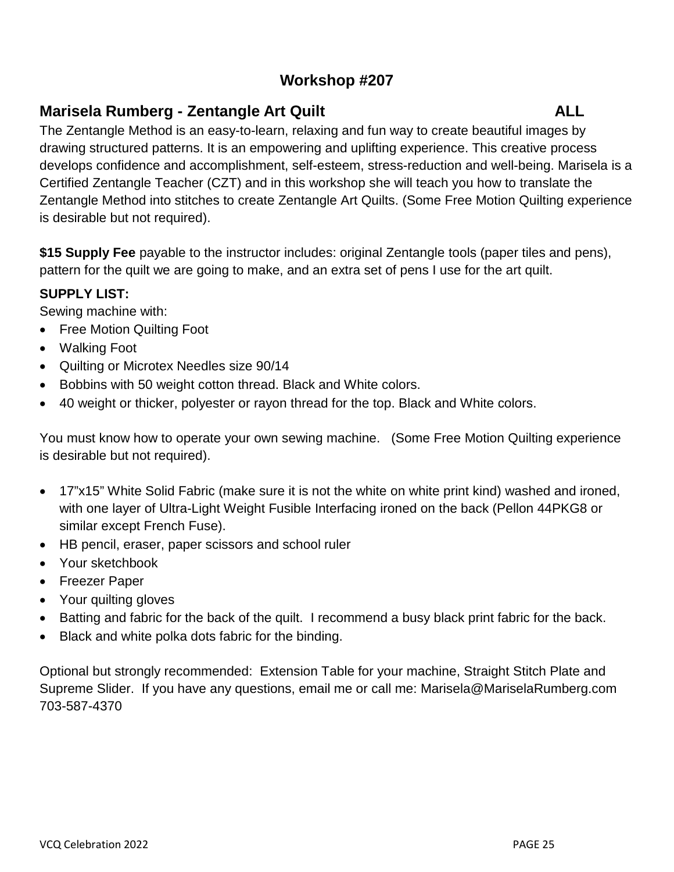## **Workshop #207**

## **Marisela Rumberg - Zentangle Art Quilt ALL**

The Zentangle Method is an easy-to-learn, relaxing and fun way to create beautiful images by drawing structured patterns. It is an empowering and uplifting experience. This creative process develops confidence and accomplishment, self-esteem, stress-reduction and well-being. Marisela is a Certified Zentangle Teacher (CZT) and in this workshop she will teach you how to translate the Zentangle Method into stitches to create Zentangle Art Quilts. (Some Free Motion Quilting experience is desirable but not required).

**\$15 Supply Fee** payable to the instructor includes: original Zentangle tools (paper tiles and pens), pattern for the quilt we are going to make, and an extra set of pens I use for the art quilt.

## **SUPPLY LIST:**

Sewing machine with:

- Free Motion Quilting Foot
- Walking Foot
- Quilting or Microtex Needles size 90/14
- Bobbins with 50 weight cotton thread. Black and White colors.
- 40 weight or thicker, polyester or rayon thread for the top. Black and White colors.

You must know how to operate your own sewing machine. (Some Free Motion Quilting experience is desirable but not required).

- 17"x15" White Solid Fabric (make sure it is not the white on white print kind) washed and ironed, with one layer of Ultra-Light Weight Fusible Interfacing ironed on the back (Pellon 44PKG8 or similar except French Fuse).
- HB pencil, eraser, paper scissors and school ruler
- Your sketchbook
- Freezer Paper
- Your quilting gloves
- Batting and fabric for the back of the quilt. I recommend a busy black print fabric for the back.
- Black and white polka dots fabric for the binding.

Optional but strongly recommended: Extension Table for your machine, Straight Stitch Plate and Supreme Slider. If you have any questions, email me or call me: Marisela@MariselaRumberg.com 703-587-4370

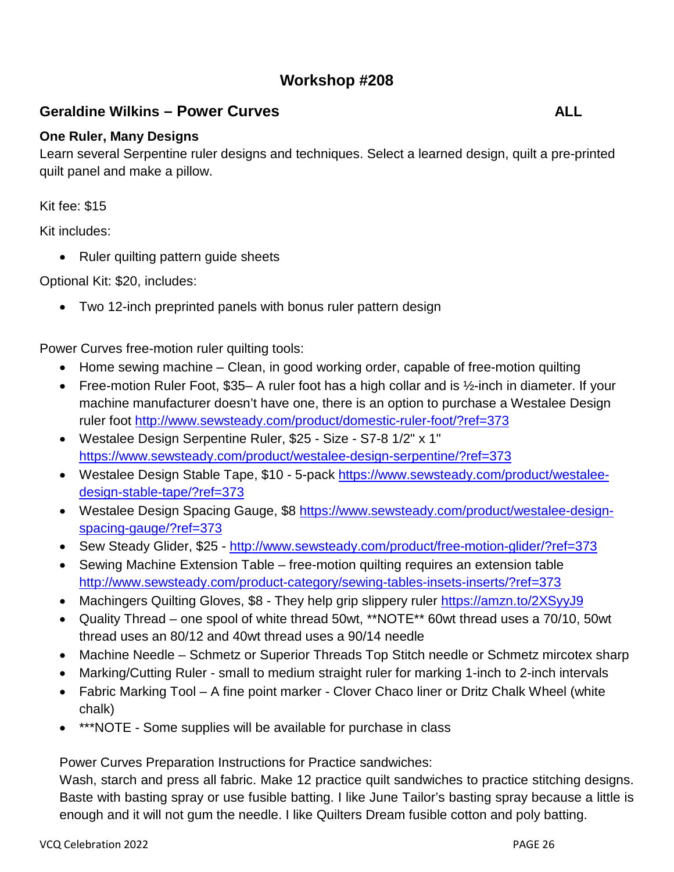## **Workshop #208**

## **Geraldine Wilkins – Power Curves ALL**

#### **One Ruler, Many Designs**

Learn several Serpentine ruler designs and techniques. Select a learned design, quilt a pre-printed quilt panel and make a pillow.

Kit fee: \$15

Kit includes:

• Ruler quilting pattern guide sheets

Optional Kit: \$20, includes:

• Two 12-inch preprinted panels with bonus ruler pattern design

Power Curves free-motion ruler quilting tools:

- Home sewing machine Clean, in good working order, capable of free-motion quilting
- Free-motion Ruler Foot, \$35– A ruler foot has a high collar and is 1/2-inch in diameter. If your machine manufacturer doesn't have one, there is an option to purchase a Westalee Design ruler foot<http://www.sewsteady.com/product/domestic-ruler-foot/?ref=373>
- Westalee Design Serpentine Ruler, \$25 Size S7-8 1/2" x 1" <https://www.sewsteady.com/product/westalee-design-serpentine/?ref=373>
- Westalee Design Stable Tape, \$10 5-pack [https://www.sewsteady.com/product/westalee](https://www.sewsteady.com/product/westalee-design-stable-tape/?ref=373)[design-stable-tape/?ref=373](https://www.sewsteady.com/product/westalee-design-stable-tape/?ref=373)
- Westalee Design Spacing Gauge, \$8 [https://www.sewsteady.com/product/westalee-design](https://www.sewsteady.com/product/westalee-design-spacing-gauge/?ref=373)[spacing-gauge/?ref=373](https://www.sewsteady.com/product/westalee-design-spacing-gauge/?ref=373)
- Sew Steady Glider, \$25 http://www.sewsteady.com/product/free-motion-glider/?ref=373
- Sewing Machine Extension Table free-motion quilting requires an extension table <http://www.sewsteady.com/product-category/sewing-tables-insets-inserts/?ref=373>
- Machingers Quilting Gloves, \$8 They help grip slippery ruler https://amzn.to/2XSyyJ9
- Quality Thread one spool of white thread 50wt, \*\*NOTE\*\* 60wt thread uses a 70/10, 50wt thread uses an 80/12 and 40wt thread uses a 90/14 needle
- Machine Needle Schmetz or Superior Threads Top Stitch needle or Schmetz mircotex sharp
- Marking/Cutting Ruler small to medium straight ruler for marking 1-inch to 2-inch intervals
- Fabric Marking Tool A fine point marker Clover Chaco liner or Dritz Chalk Wheel (white chalk)
- \*\*\*NOTE Some supplies will be available for purchase in class

Power Curves Preparation Instructions for Practice sandwiches:

Wash, starch and press all fabric. Make 12 practice quilt sandwiches to practice stitching designs. Baste with basting spray or use fusible batting. I like June Tailor's basting spray because a little is enough and it will not gum the needle. I like Quilters Dream fusible cotton and poly batting.